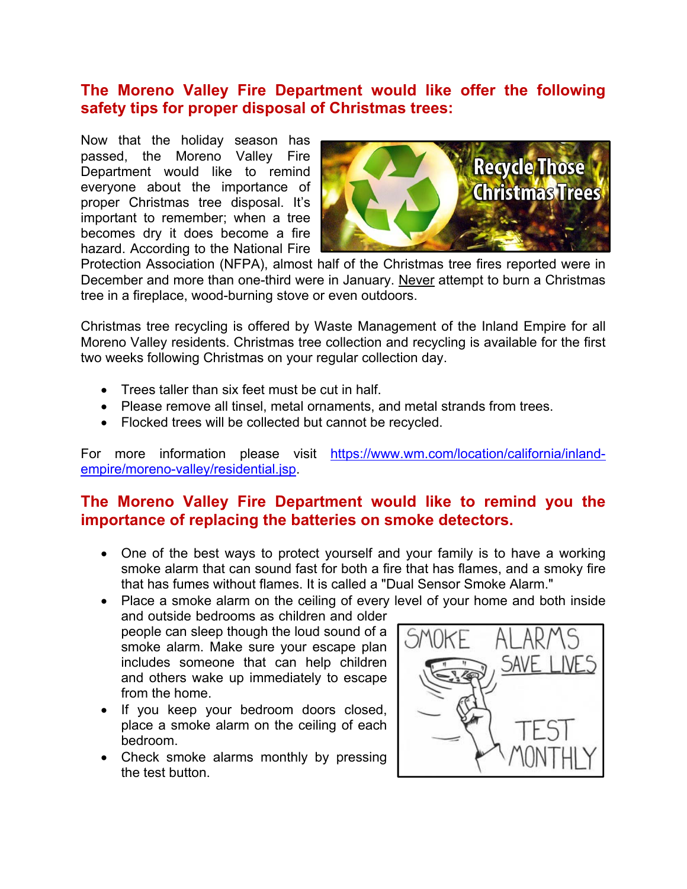# **The Moreno Valley Fire Department would like offer the following safety tips for proper disposal of Christmas trees:**

Now that the holiday season has passed, the Moreno Valley Fire Department would like to remind everyone about the importance of proper Christmas tree disposal. It's important to remember; when a tree becomes dry it does become a fire hazard. According to the National Fire



Protection Association (NFPA), almost half of the Christmas tree fires reported were in December and more than one-third were in January. Never attempt to burn a Christmas tree in a fireplace, wood-burning stove or even outdoors.

Christmas tree recycling is offered by Waste Management of the Inland Empire for all Moreno Valley residents. Christmas tree collection and recycling is available for the first two weeks following Christmas on your regular collection day.

- Trees taller than six feet must be cut in half.
- Please remove all tinsel, metal ornaments, and metal strands from trees.
- Flocked trees will be collected but cannot be recycled.

For more information please visit https://www.wm.com/location/california/inlandempire/moreno-valley/residential.jsp.

# **The Moreno Valley Fire Department would like to remind you the importance of replacing the batteries on smoke detectors.**

- One of the best ways to protect yourself and your family is to have a working smoke alarm that can sound fast for both a fire that has flames, and a smoky fire that has fumes without flames. It is called a "Dual Sensor Smoke Alarm."
- Place a smoke alarm on the ceiling of every level of your home and both inside and outside bedrooms as children and older people can sleep though the loud sound of a smoke alarm. Make sure your escape plan SAVE L includes someone that can help children and others wake up immediately to escape from the home.
	- If you keep your bedroom doors closed, place a smoke alarm on the ceiling of each bedroom.
	- Check smoke alarms monthly by pressing the test button.

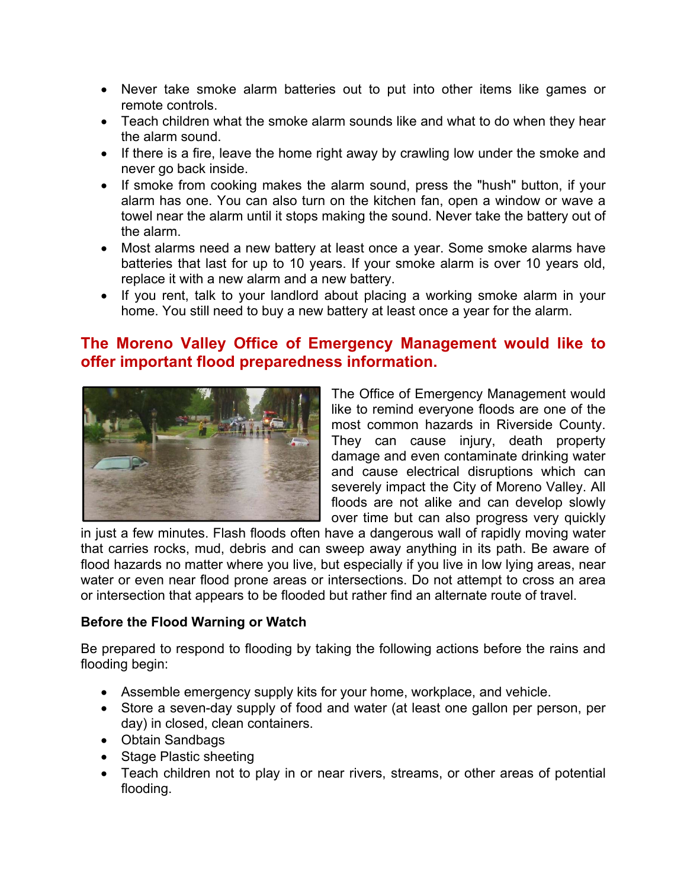- Never take smoke alarm batteries out to put into other items like games or remote controls.
- Teach children what the smoke alarm sounds like and what to do when they hear the alarm sound.
- If there is a fire, leave the home right away by crawling low under the smoke and never go back inside.
- If smoke from cooking makes the alarm sound, press the "hush" button, if your alarm has one. You can also turn on the kitchen fan, open a window or wave a towel near the alarm until it stops making the sound. Never take the battery out of the alarm.
- Most alarms need a new battery at least once a year. Some smoke alarms have batteries that last for up to 10 years. If your smoke alarm is over 10 years old, replace it with a new alarm and a new battery.
- If you rent, talk to your landlord about placing a working smoke alarm in your home. You still need to buy a new battery at least once a year for the alarm.

## **The Moreno Valley Office of Emergency Management would like to offer important flood preparedness information.**



The Office of Emergency Management would like to remind everyone floods are one of the most common hazards in Riverside County. They can cause injury, death property damage and even contaminate drinking water and cause electrical disruptions which can severely impact the City of Moreno Valley. All floods are not alike and can develop slowly over time but can also progress very quickly

in just a few minutes. Flash floods often have a dangerous wall of rapidly moving water that carries rocks, mud, debris and can sweep away anything in its path. Be aware of flood hazards no matter where you live, but especially if you live in low lying areas, near water or even near flood prone areas or intersections. Do not attempt to cross an area or intersection that appears to be flooded but rather find an alternate route of travel.

#### **Before the Flood Warning or Watch**

Be prepared to respond to flooding by taking the following actions before the rains and flooding begin:

- Assemble emergency supply kits for your home, workplace, and vehicle.
- Store a seven-day supply of food and water (at least one gallon per person, per day) in closed, clean containers.
- Obtain Sandbags
- Stage Plastic sheeting
- Teach children not to play in or near rivers, streams, or other areas of potential flooding.